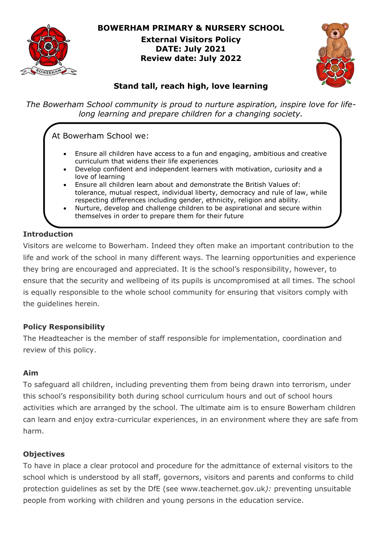

**BOWERHAM PRIMARY & NURSERY SCHOOL**

**External Visitors Policy DATE: July 2021 Review date: July 2022**



# **Stand tall, reach high, love learning**

*The Bowerham School community is proud to nurture aspiration, inspire love for lifelong learning and prepare children for a changing society.*

# At Bowerham School we:

- Ensure all children have access to a fun and engaging, ambitious and creative curriculum that widens their life experiences
- Develop confident and independent learners with motivation, curiosity and a love of learning
- Ensure all children learn about and demonstrate the British Values of: tolerance, mutual respect, individual liberty, democracy and rule of law, while respecting differences including gender, ethnicity, religion and ability.
- Nurture, develop and challenge children to be aspirational and secure within themselves in order to prepare them for their future

### **Introduction**

Visitors are welcome to Bowerham. Indeed they often make an important contribution to the life and work of the school in many different ways. The learning opportunities and experience they bring are encouraged and appreciated. It is the school's responsibility, however, to ensure that the security and wellbeing of its pupils is uncompromised at all times. The school is equally responsible to the whole school community for ensuring that visitors comply with the guidelines herein.

# **Policy Responsibility**

The Headteacher is the member of staff responsible for implementation, coordination and review of this policy.

#### **Aim**

To safeguard all children, including preventing them from being drawn into terrorism, under this school's responsibility both during school curriculum hours and out of school hours activities which are arranged by the school. The ultimate aim is to ensure Bowerham children can learn and enjoy extra-curricular experiences, in an environment where they are safe from harm.

#### **Objectives**

To have in place a clear protocol and procedure for the admittance of external visitors to the school which is understood by all staff, governors, visitors and parents and conforms to child protection guidelines as set by the DfE (see www.teachernet.gov.uk*):* preventing unsuitable people from working with children and young persons in the education service.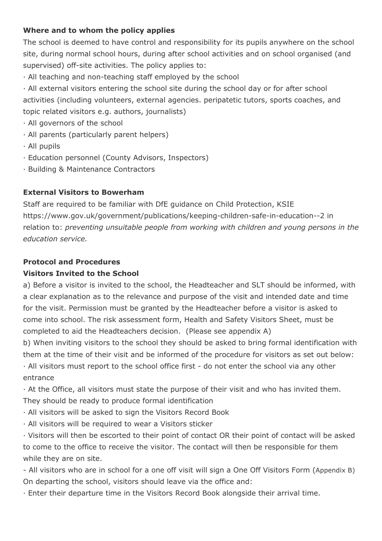#### **Where and to whom the policy applies**

The school is deemed to have control and responsibility for its pupils anywhere on the school site, during normal school hours, during after school activities and on school organised (and supervised) off-site activities. The policy applies to:

· All teaching and non-teaching staff employed by the school

· All external visitors entering the school site during the school day or for after school activities (including volunteers, external agencies. peripatetic tutors, sports coaches, and topic related visitors e.g. authors, journalists)

- · All governors of the school
- · All parents (particularly parent helpers)
- · All pupils
- · Education personnel (County Advisors, Inspectors)
- · Building & Maintenance Contractors

#### **External Visitors to Bowerham**

Staff are required to be familiar with DfE guidance on Child Protection, KSIE https://www.gov.uk/government/publications/keeping-children-safe-in-education--2 in relation to: *preventing unsuitable people from working with children and young persons in the education service.*

#### **Protocol and Procedures**

#### **Visitors Invited to the School**

a) Before a visitor is invited to the school, the Headteacher and SLT should be informed, with a clear explanation as to the relevance and purpose of the visit and intended date and time for the visit. Permission must be granted by the Headteacher before a visitor is asked to come into school. The risk assessment form, Health and Safety Visitors Sheet, must be completed to aid the Headteachers decision. (Please see appendix A)

b) When inviting visitors to the school they should be asked to bring formal identification with them at the time of their visit and be informed of the procedure for visitors as set out below: · All visitors must report to the school office first - do not enter the school via any other

entrance

· At the Office, all visitors must state the purpose of their visit and who has invited them. They should be ready to produce formal identification

- · All visitors will be asked to sign the Visitors Record Book
- · All visitors will be required to wear a Visitors sticker

· Visitors will then be escorted to their point of contact OR their point of contact will be asked to come to the office to receive the visitor. The contact will then be responsible for them while they are on site.

- All visitors who are in school for a one off visit will sign a One Off Visitors Form (Appendix B) On departing the school, visitors should leave via the office and:

· Enter their departure time in the Visitors Record Book alongside their arrival time.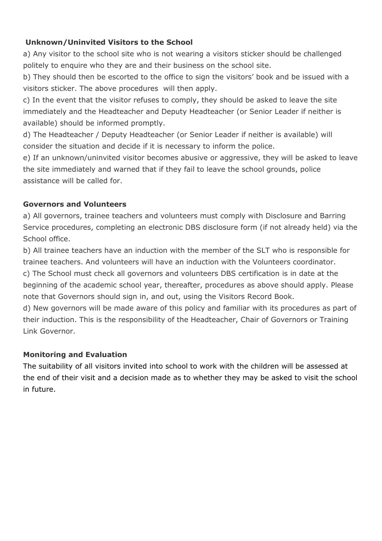#### **Unknown/Uninvited Visitors to the School**

a) Any visitor to the school site who is not wearing a visitors sticker should be challenged politely to enquire who they are and their business on the school site.

b) They should then be escorted to the office to sign the visitors' book and be issued with a visitors sticker. The above procedures will then apply.

c) In the event that the visitor refuses to comply, they should be asked to leave the site immediately and the Headteacher and Deputy Headteacher (or Senior Leader if neither is available) should be informed promptly.

d) The Headteacher / Deputy Headteacher (or Senior Leader if neither is available) will consider the situation and decide if it is necessary to inform the police.

e) If an unknown/uninvited visitor becomes abusive or aggressive, they will be asked to leave the site immediately and warned that if they fail to leave the school grounds, police assistance will be called for.

#### **Governors and Volunteers**

a) All governors, trainee teachers and volunteers must comply with Disclosure and Barring Service procedures, completing an electronic DBS disclosure form (if not already held) via the School office.

b) All trainee teachers have an induction with the member of the SLT who is responsible for trainee teachers. And volunteers will have an induction with the Volunteers coordinator. c) The School must check all governors and volunteers DBS certification is in date at the

beginning of the academic school year, thereafter, procedures as above should apply. Please note that Governors should sign in, and out, using the Visitors Record Book.

d) New governors will be made aware of this policy and familiar with its procedures as part of their induction. This is the responsibility of the Headteacher, Chair of Governors or Training Link Governor.

#### **Monitoring and Evaluation**

The suitability of all visitors invited into school to work with the children will be assessed at the end of their visit and a decision made as to whether they may be asked to visit the school in future.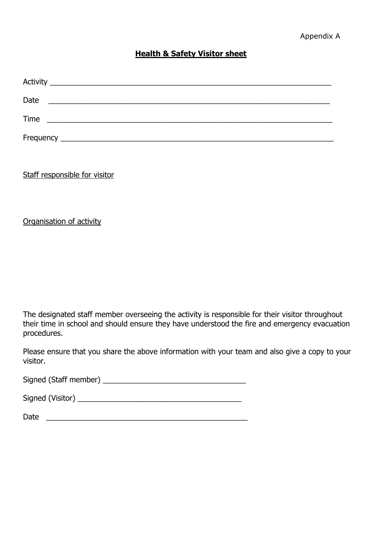#### **Health & Safety Visitor sheet**

| Date |                                                                                                                        |  |
|------|------------------------------------------------------------------------------------------------------------------------|--|
| Time | <u> 1990 - Johann John Harry Harry Harry Harry Harry Harry Harry Harry Harry Harry Harry Harry Harry Harry Harry H</u> |  |
|      |                                                                                                                        |  |

Staff responsible for visitor

Organisation of activity

The designated staff member overseeing the activity is responsible for their visitor throughout their time in school and should ensure they have understood the fire and emergency evacuation procedures.

Please ensure that you share the above information with your team and also give a copy to your visitor.

Signed (Staff member) \_\_\_\_\_\_\_\_\_\_\_\_\_\_\_\_\_\_\_\_\_\_\_\_\_\_\_\_\_\_\_\_\_\_

Signed (Visitor) \_\_\_\_\_\_\_\_\_\_\_\_\_\_\_\_\_\_\_\_\_\_\_\_\_\_\_\_\_\_\_\_\_\_\_\_\_\_\_

Date \_\_\_\_\_\_\_\_\_\_\_\_\_\_\_\_\_\_\_\_\_\_\_\_\_\_\_\_\_\_\_\_\_\_\_\_\_\_\_\_\_\_\_\_\_\_\_\_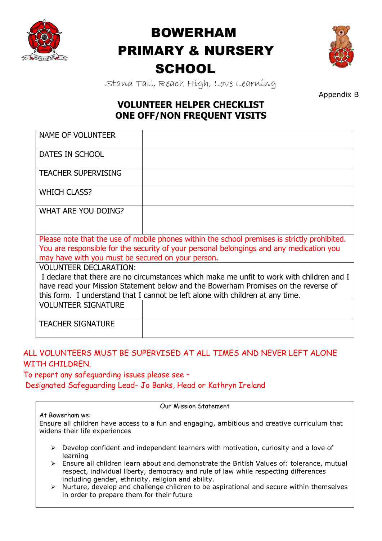

# BOWERHAM PRIMARY & NURSERY **SCHOOL**



Stand Tall, Reach High, Love Learning

Appendix B

# **VOLUNTEER HELPER CHECKLIST ONE OFF/NON FREQUENT VISITS**

| <b>NAME OF VOLUNTEER</b>                                                                  |                                                                                              |  |  |  |  |
|-------------------------------------------------------------------------------------------|----------------------------------------------------------------------------------------------|--|--|--|--|
| <b>DATES IN SCHOOL</b>                                                                    |                                                                                              |  |  |  |  |
| <b>TEACHER SUPERVISING</b>                                                                |                                                                                              |  |  |  |  |
| <b>WHICH CLASS?</b>                                                                       |                                                                                              |  |  |  |  |
| WHAT ARE YOU DOING?                                                                       |                                                                                              |  |  |  |  |
|                                                                                           | Please note that the use of mobile phones within the school premises is strictly prohibited. |  |  |  |  |
| You are responsible for the security of your personal belongings and any medication you   |                                                                                              |  |  |  |  |
| may have with you must be secured on your person.                                         |                                                                                              |  |  |  |  |
| <b>VOLUNTEER DECLARATION:</b>                                                             |                                                                                              |  |  |  |  |
| I declare that there are no circumstances which make me unfit to work with children and I |                                                                                              |  |  |  |  |
| have read your Mission Statement below and the Bowerham Promises on the reverse of        |                                                                                              |  |  |  |  |
| this form. I understand that I cannot be left alone with children at any time.            |                                                                                              |  |  |  |  |
| <b>VOLUNTEER SIGNATURE</b>                                                                |                                                                                              |  |  |  |  |
| <b>TEACHER SIGNATURE</b>                                                                  |                                                                                              |  |  |  |  |

# ALL VOLUNTEERS MUST BE SUPERVISED AT ALL TIMES AND NEVER LEFT ALONE WITH CHILDREN.

To report any safeguarding issues please see – Designated Safeguarding Lead- Jo Banks, Head or Kathryn Ireland

| At Rowerham we: |  |
|-----------------|--|

Our Mission Statement

Ensure all children have access to a fun and engaging, ambitious and creative curriculum that widens their life experiences

- $\triangleright$  Develop confident and independent learners with motivation, curiosity and a love of learning
- Ensure all children learn about and demonstrate the British Values of: tolerance, mutual respect, individual liberty, democracy and rule of law while respecting differences including gender, ethnicity, religion and ability.
- $\triangleright$  Nurture, develop and challenge children to be aspirational and secure within themselves in order to prepare them for their future